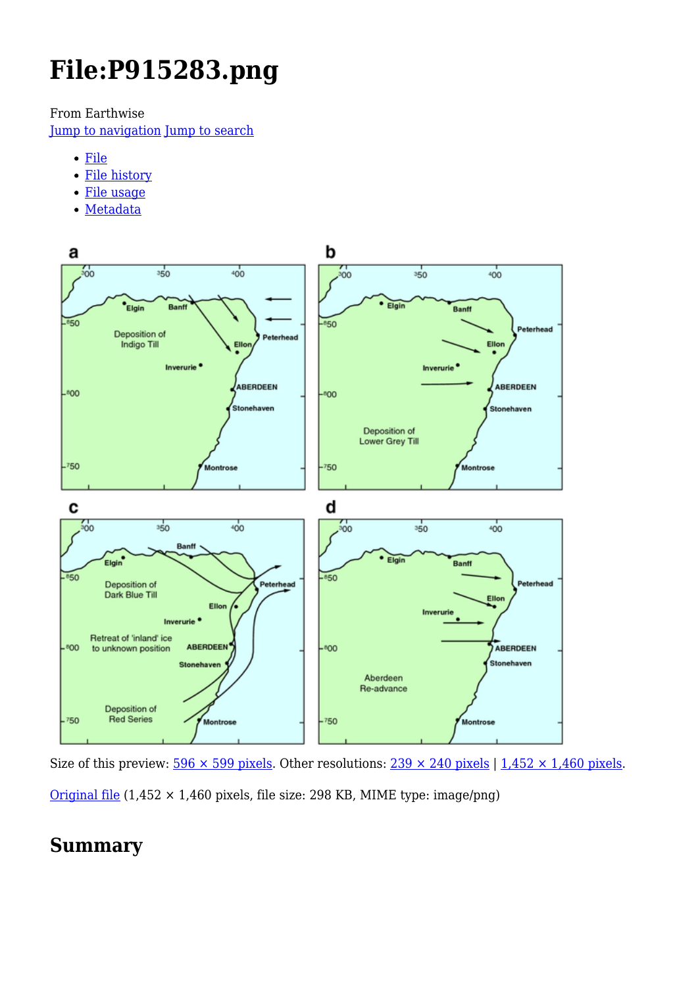# **File:P915283.png**

From Earthwise

[Jump to navigation](#page--1-0) [Jump to search](#page--1-0)

- [File](#page--1-0)
- [File history](#page--1-0)
- [File usage](#page--1-0)
- [Metadata](#page--1-0)



Size of this preview:  $\frac{596 \times 599 \text{ pixels}}{298 \times 100}$ . Other resolutions:  $\frac{239 \times 240 \text{ pixels}}{1,452 \times 1,460 \text{ pixels}}$ . [Original file](http://earthwise.bgs.ac.uk/images/6/6c/P915283.png) (1,452 × 1,460 pixels, file size: 298 KB, MIME type: image/png)

## **Summary**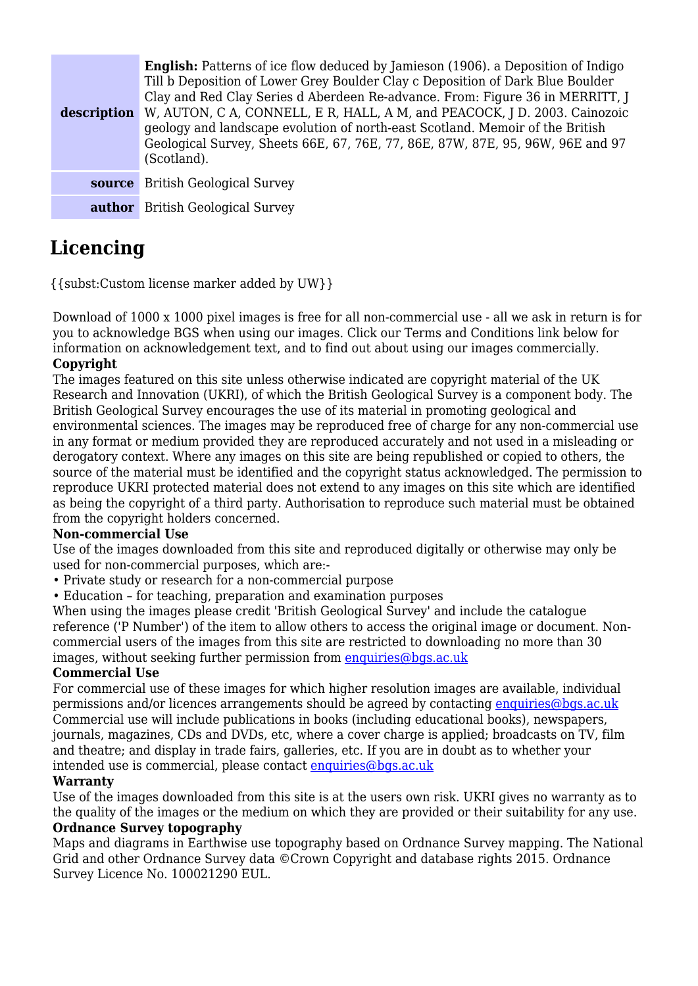| description | <b>English:</b> Patterns of ice flow deduced by Jamieson (1906). a Deposition of Indigo<br>Till b Deposition of Lower Grey Boulder Clay c Deposition of Dark Blue Boulder<br>Clay and Red Clay Series d Aberdeen Re-advance. From: Figure 36 in MERRITT, J<br>W, AUTON, C A, CONNELL, E R, HALL, A M, and PEACOCK, J D. 2003. Cainozoic<br>geology and landscape evolution of north-east Scotland. Memoir of the British<br>Geological Survey, Sheets 66E, 67, 76E, 77, 86E, 87W, 87E, 95, 96W, 96E and 97<br>(Scotland). |
|-------------|---------------------------------------------------------------------------------------------------------------------------------------------------------------------------------------------------------------------------------------------------------------------------------------------------------------------------------------------------------------------------------------------------------------------------------------------------------------------------------------------------------------------------|
| source      | <b>British Geological Survey</b>                                                                                                                                                                                                                                                                                                                                                                                                                                                                                          |
|             | <b>author</b> British Geological Survey                                                                                                                                                                                                                                                                                                                                                                                                                                                                                   |

# **Licencing**

{{subst:Custom license marker added by UW}}

Download of 1000 x 1000 pixel images is free for all non-commercial use - all we ask in return is for you to acknowledge BGS when using our images. Click our Terms and Conditions link below for information on acknowledgement text, and to find out about using our images commercially. **Copyright**

The images featured on this site unless otherwise indicated are copyright material of the UK Research and Innovation (UKRI), of which the British Geological Survey is a component body. The British Geological Survey encourages the use of its material in promoting geological and environmental sciences. The images may be reproduced free of charge for any non-commercial use in any format or medium provided they are reproduced accurately and not used in a misleading or derogatory context. Where any images on this site are being republished or copied to others, the source of the material must be identified and the copyright status acknowledged. The permission to reproduce UKRI protected material does not extend to any images on this site which are identified as being the copyright of a third party. Authorisation to reproduce such material must be obtained from the copyright holders concerned.

### **Non-commercial Use**

Use of the images downloaded from this site and reproduced digitally or otherwise may only be used for non-commercial purposes, which are:-

- Private study or research for a non-commercial purpose
- Education for teaching, preparation and examination purposes

When using the images please credit 'British Geological Survey' and include the catalogue reference ('P Number') of the item to allow others to access the original image or document. Noncommercial users of the images from this site are restricted to downloading no more than 30 images, without seeking further permission from [enquiries@bgs.ac.uk](mailto:enquiries@bgs.ac.uk)

### **Commercial Use**

For commercial use of these images for which higher resolution images are available, individual permissions and/or licences arrangements should be agreed by contacting [enquiries@bgs.ac.uk](mailto:enquiries@bgs.ac.uk) Commercial use will include publications in books (including educational books), newspapers, journals, magazines, CDs and DVDs, etc, where a cover charge is applied; broadcasts on TV, film and theatre; and display in trade fairs, galleries, etc. If you are in doubt as to whether your intended use is commercial, please contact [enquiries@bgs.ac.uk](mailto:enquiries@bgs.ac.uk)

### **Warranty**

Use of the images downloaded from this site is at the users own risk. UKRI gives no warranty as to the quality of the images or the medium on which they are provided or their suitability for any use.

### **Ordnance Survey topography**

Maps and diagrams in Earthwise use topography based on Ordnance Survey mapping. The National Grid and other Ordnance Survey data ©Crown Copyright and database rights 2015. Ordnance Survey Licence No. 100021290 EUL.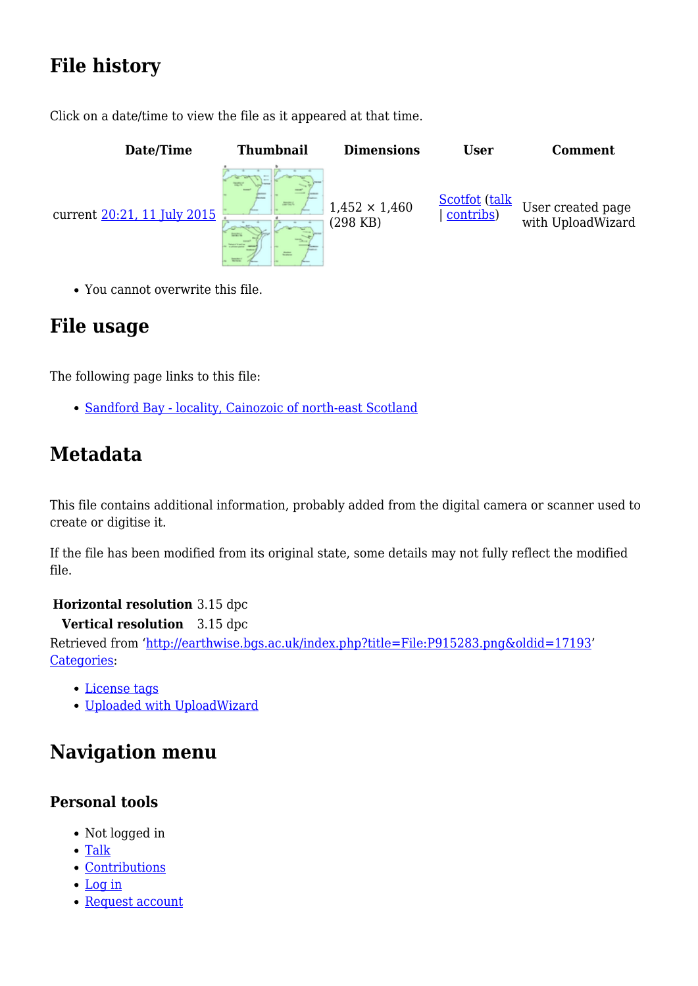# **File history**

Click on a date/time to view the file as it appeared at that time.



You cannot overwrite this file.

## **File usage**

The following page links to this file:

• [Sandford Bay - locality, Cainozoic of north-east Scotland](http://earthwise.bgs.ac.uk/index.php/Sandford_Bay_-_locality,_Cainozoic_of_north-east_Scotland)

## **Metadata**

This file contains additional information, probably added from the digital camera or scanner used to create or digitise it.

If the file has been modified from its original state, some details may not fully reflect the modified file.

**Horizontal resolution** 3.15 dpc

**Vertical resolution** 3.15 dpc Retrieved from ['http://earthwise.bgs.ac.uk/index.php?title=File:P915283.png&oldid=17193'](http://earthwise.bgs.ac.uk/index.php?title=File:P915283.png&oldid=17193) [Categories:](http://earthwise.bgs.ac.uk/index.php/Special:Categories)

- [License tags](http://earthwise.bgs.ac.uk/index.php/Category:License_tags)
- [Uploaded with UploadWizard](http://earthwise.bgs.ac.uk/index.php/Category:Uploaded_with_UploadWizard)

# **Navigation menu**

## **Personal tools**

- Not logged in
- [Talk](http://earthwise.bgs.ac.uk/index.php/Special:MyTalk)
- [Contributions](http://earthwise.bgs.ac.uk/index.php/Special:MyContributions)
- [Log in](http://earthwise.bgs.ac.uk/index.php?title=Special:UserLogin&returnto=File%3AP915283.png&returntoquery=action%3Dmpdf)
- [Request account](http://earthwise.bgs.ac.uk/index.php/Special:RequestAccount)